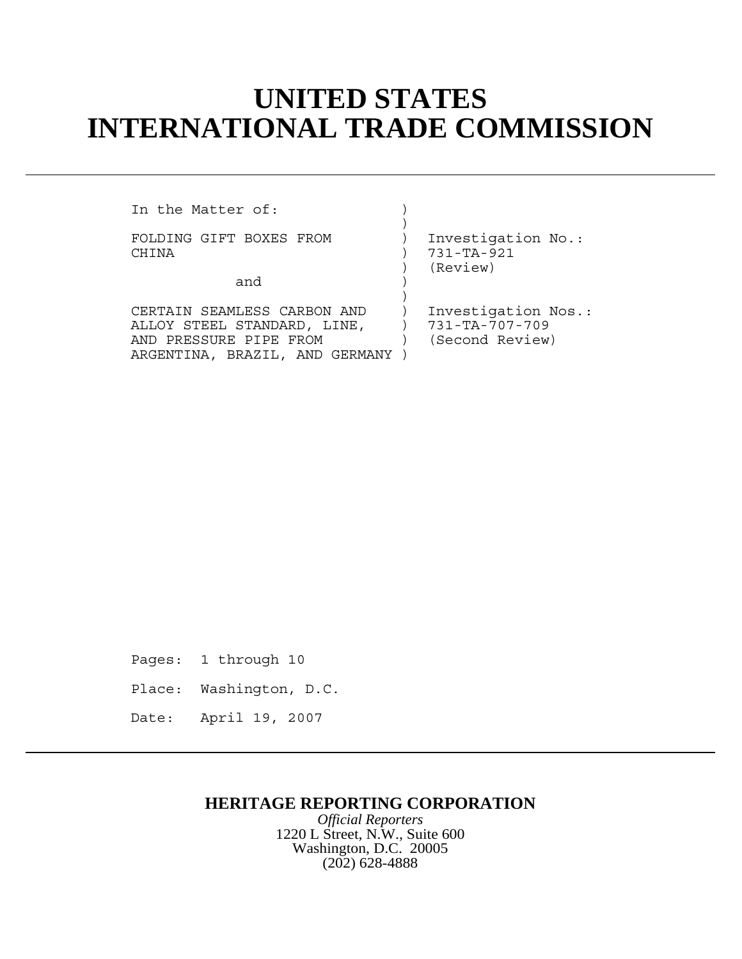## **UNITED STATES INTERNATIONAL TRADE COMMISSION**

In the Matter of:  $\qquad \qquad$  )

FOLDING GIFT BOXES FROM ) Investigation No.: CHINA ) 731-TA-921

and )

CERTAIN SEAMLESS CARBON AND ) Investigation Nos.:<br>ALLOY STEEL STANDARD, LINE, ) 731-TA-707-709 ALLOY STEEL STANDARD, LINE,  $\qquad$  ) 731-TA-707-709<br>AND PRESSURE PIPE FROM (Second Review) AND PRESSURE PIPE FROM ) ARGENTINA, BRAZIL, AND GERMANY )

 $)$ 

 $)$ 

) (Review)

Pages: 1 through 10

Place: Washington, D.C.

Date: April 19, 2007

## **HERITAGE REPORTING CORPORATION**

*Official Reporters* 1220 L Street, N.W., Suite 600 Washington, D.C. 20005 (202) 628-4888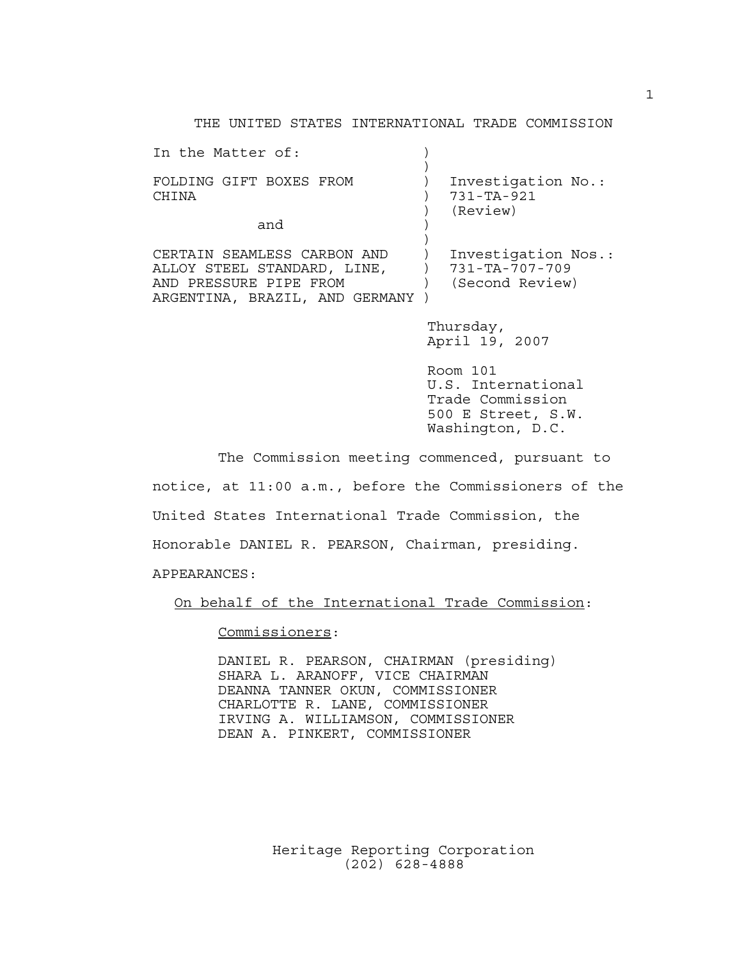THE UNITED STATES INTERNATIONAL TRADE COMMISSION

| In the Matter of:                                                                                                        |                                                          |  |
|--------------------------------------------------------------------------------------------------------------------------|----------------------------------------------------------|--|
| FOLDING GIFT BOXES FROM<br>CHINA                                                                                         | Investigation No.:<br>$731 - TA - 921$<br>(Review)       |  |
| and                                                                                                                      |                                                          |  |
| CERTAIN SEAMLESS CARBON AND<br>ALLOY STEEL STANDARD, LINE,<br>AND PRESSURE PIPE FROM<br>ARGENTINA, BRAZIL, AND GERMANY ) | Investigation Nos.:<br>731-TA-707-709<br>(Second Review) |  |
|                                                                                                                          | Thursday,<br>April 19, 2007                              |  |

 Room 101 U.S. International Trade Commission 500 E Street, S.W. Washington, D.C.

The Commission meeting commenced, pursuant to notice, at 11:00 a.m., before the Commissioners of the United States International Trade Commission, the Honorable DANIEL R. PEARSON, Chairman, presiding.

APPEARANCES:

On behalf of the International Trade Commission:

Commissioners:

DANIEL R. PEARSON, CHAIRMAN (presiding) SHARA L. ARANOFF, VICE CHAIRMAN DEANNA TANNER OKUN, COMMISSIONER CHARLOTTE R. LANE, COMMISSIONER IRVING A. WILLIAMSON, COMMISSIONER DEAN A. PINKERT, COMMISSIONER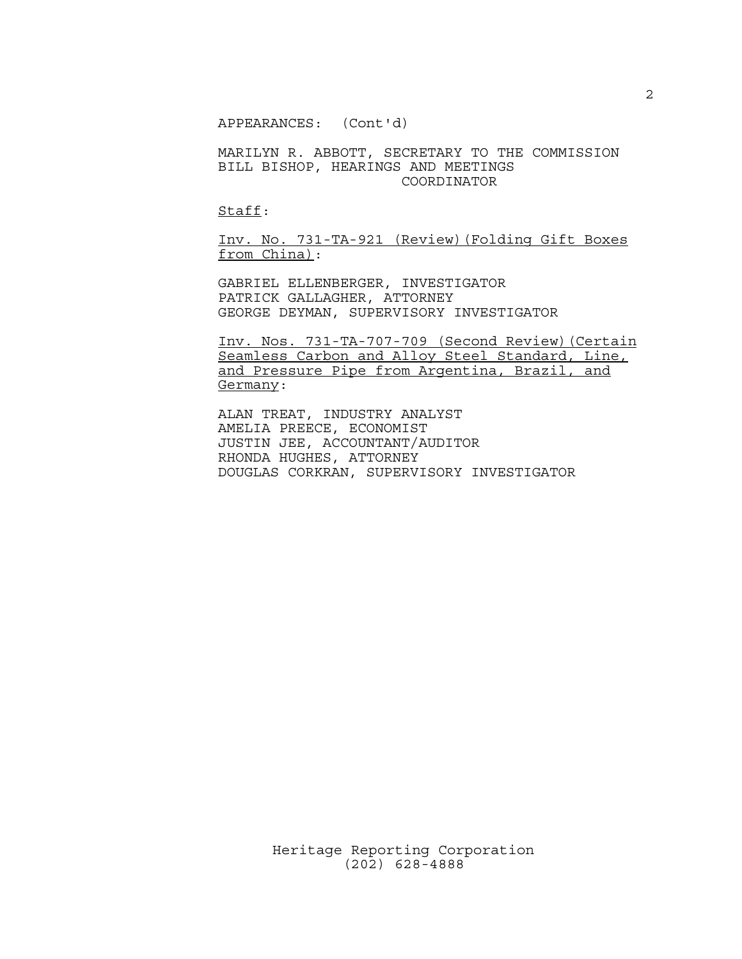APPEARANCES: (Cont'd)

MARILYN R. ABBOTT, SECRETARY TO THE COMMISSION BILL BISHOP, HEARINGS AND MEETINGS COORDINATOR

Staff:

Inv. No. 731-TA-921 (Review)(Folding Gift Boxes from China):

GABRIEL ELLENBERGER, INVESTIGATOR PATRICK GALLAGHER, ATTORNEY GEORGE DEYMAN, SUPERVISORY INVESTIGATOR

Inv. Nos. 731-TA-707-709 (Second Review)(Certain Seamless Carbon and Alloy Steel Standard, Line, and Pressure Pipe from Argentina, Brazil, and Germany:

ALAN TREAT, INDUSTRY ANALYST AMELIA PREECE, ECONOMIST JUSTIN JEE, ACCOUNTANT/AUDITOR RHONDA HUGHES, ATTORNEY DOUGLAS CORKRAN, SUPERVISORY INVESTIGATOR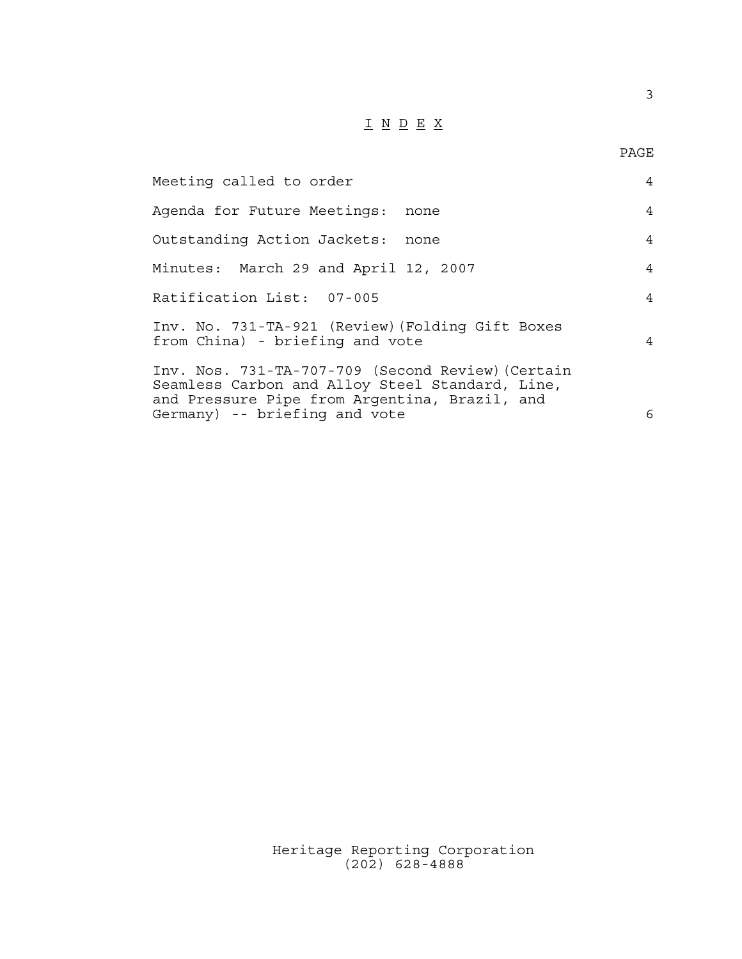## $\underline{\texttt{I}} \underline{\texttt{N}} \underline{\texttt{D}} \underline{\texttt{E}} \underline{\texttt{X}}$

PAGE

| Meeting called to order                                                                                                                                                                | $\overline{4}$ |
|----------------------------------------------------------------------------------------------------------------------------------------------------------------------------------------|----------------|
| Agenda for Future Meetings: none                                                                                                                                                       | $\overline{4}$ |
| Outstanding Action Jackets: none                                                                                                                                                       | 4              |
| Minutes: March 29 and April 12, 2007                                                                                                                                                   | $\overline{4}$ |
| Ratification List: 07-005                                                                                                                                                              | $\overline{4}$ |
| Inv. No. 731-TA-921 (Review) (Folding Gift Boxes<br>from China) - briefing and vote                                                                                                    | $\overline{4}$ |
| Inv. Nos. 731-TA-707-709 (Second Review) (Certain<br>Seamless Carbon and Alloy Steel Standard, Line,<br>and Pressure Pipe from Argentina, Brazil, and<br>Germany) -- briefing and vote | 6              |
|                                                                                                                                                                                        |                |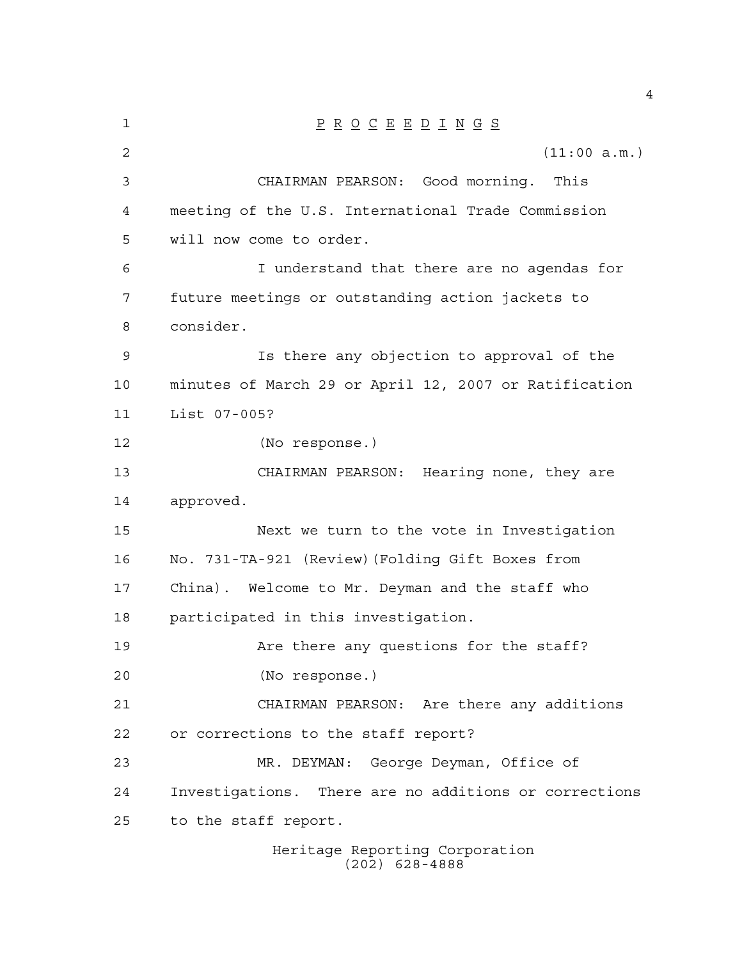| 1  | $\underline{P} \underline{R} \underline{O} \underline{C} \underline{E} \underline{E} \underline{D} \underline{I} \underline{N} \underline{G} \underline{S}$ |  |  |  |  |  |
|----|-------------------------------------------------------------------------------------------------------------------------------------------------------------|--|--|--|--|--|
| 2  | (11:00 a.m.)                                                                                                                                                |  |  |  |  |  |
| 3  | CHAIRMAN PEARSON: Good morning. This                                                                                                                        |  |  |  |  |  |
| 4  | meeting of the U.S. International Trade Commission                                                                                                          |  |  |  |  |  |
| 5  | will now come to order.                                                                                                                                     |  |  |  |  |  |
| 6  | I understand that there are no agendas for                                                                                                                  |  |  |  |  |  |
| 7  | future meetings or outstanding action jackets to                                                                                                            |  |  |  |  |  |
| 8  | consider.                                                                                                                                                   |  |  |  |  |  |
| 9  | Is there any objection to approval of the                                                                                                                   |  |  |  |  |  |
| 10 | minutes of March 29 or April 12, 2007 or Ratification                                                                                                       |  |  |  |  |  |
| 11 | List 07-005?                                                                                                                                                |  |  |  |  |  |
| 12 | (No response.)                                                                                                                                              |  |  |  |  |  |
| 13 | CHAIRMAN PEARSON: Hearing none, they are                                                                                                                    |  |  |  |  |  |
| 14 | approved.                                                                                                                                                   |  |  |  |  |  |
| 15 | Next we turn to the vote in Investigation                                                                                                                   |  |  |  |  |  |
| 16 | No. 731-TA-921 (Review) (Folding Gift Boxes from                                                                                                            |  |  |  |  |  |
| 17 | China). Welcome to Mr. Deyman and the staff who                                                                                                             |  |  |  |  |  |
| 18 | participated in this investigation.                                                                                                                         |  |  |  |  |  |
| 19 | Are there any questions for the staff?                                                                                                                      |  |  |  |  |  |
| 20 | (No response.)                                                                                                                                              |  |  |  |  |  |
| 21 | CHAIRMAN PEARSON: Are there any additions                                                                                                                   |  |  |  |  |  |
| 22 | or corrections to the staff report?                                                                                                                         |  |  |  |  |  |
| 23 | MR. DEYMAN: George Deyman, Office of                                                                                                                        |  |  |  |  |  |
| 24 | Investigations. There are no additions or corrections                                                                                                       |  |  |  |  |  |
| 25 | to the staff report.                                                                                                                                        |  |  |  |  |  |
|    | Heritage Reporting Corporation                                                                                                                              |  |  |  |  |  |

(202) 628-4888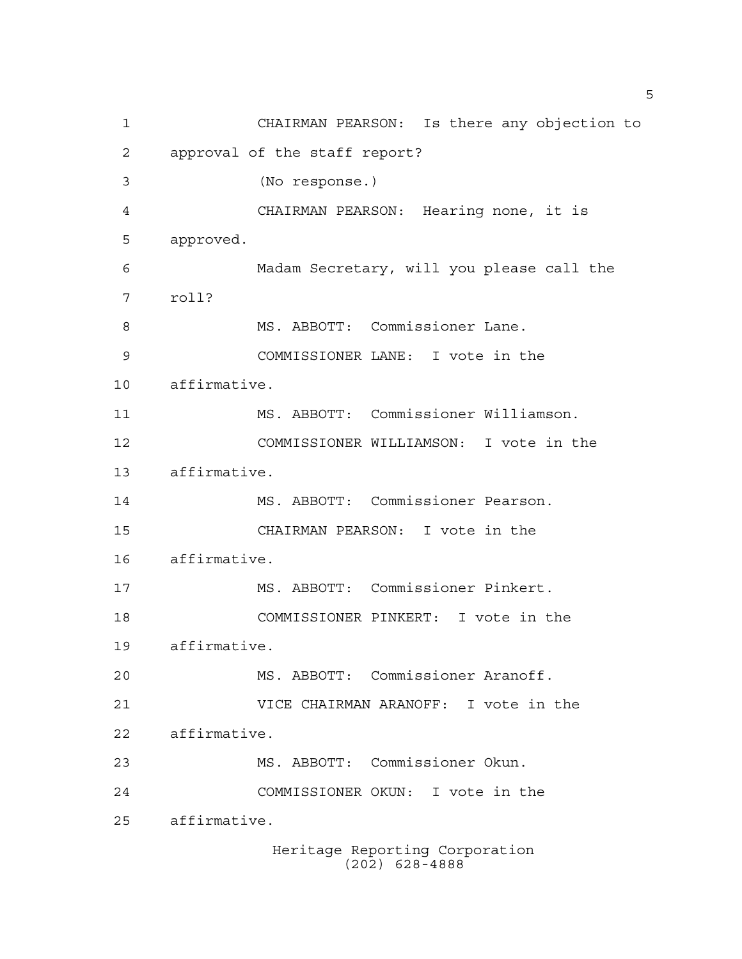Heritage Reporting Corporation (202) 628-4888 CHAIRMAN PEARSON: Is there any objection to approval of the staff report? (No response.) CHAIRMAN PEARSON: Hearing none, it is approved. Madam Secretary, will you please call the roll? 8 MS. ABBOTT: Commissioner Lane. COMMISSIONER LANE: I vote in the affirmative. MS. ABBOTT: Commissioner Williamson. COMMISSIONER WILLIAMSON: I vote in the affirmative. MS. ABBOTT: Commissioner Pearson. CHAIRMAN PEARSON: I vote in the affirmative. MS. ABBOTT: Commissioner Pinkert. COMMISSIONER PINKERT: I vote in the affirmative. MS. ABBOTT: Commissioner Aranoff. VICE CHAIRMAN ARANOFF: I vote in the affirmative. MS. ABBOTT: Commissioner Okun. COMMISSIONER OKUN: I vote in the affirmative.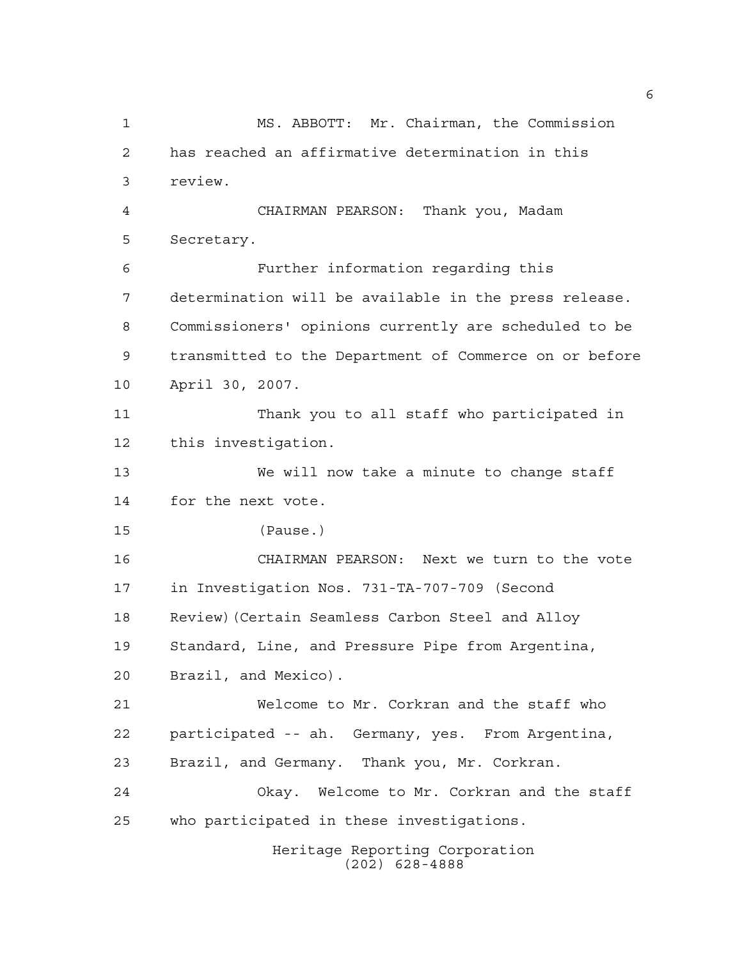Heritage Reporting Corporation (202) 628-4888 MS. ABBOTT: Mr. Chairman, the Commission has reached an affirmative determination in this review. CHAIRMAN PEARSON: Thank you, Madam Secretary. Further information regarding this determination will be available in the press release. Commissioners' opinions currently are scheduled to be transmitted to the Department of Commerce on or before April 30, 2007. Thank you to all staff who participated in this investigation. We will now take a minute to change staff for the next vote. (Pause.) CHAIRMAN PEARSON: Next we turn to the vote in Investigation Nos. 731-TA-707-709 (Second Review)(Certain Seamless Carbon Steel and Alloy Standard, Line, and Pressure Pipe from Argentina, Brazil, and Mexico). Welcome to Mr. Corkran and the staff who participated -- ah. Germany, yes. From Argentina, Brazil, and Germany. Thank you, Mr. Corkran. Okay. Welcome to Mr. Corkran and the staff who participated in these investigations.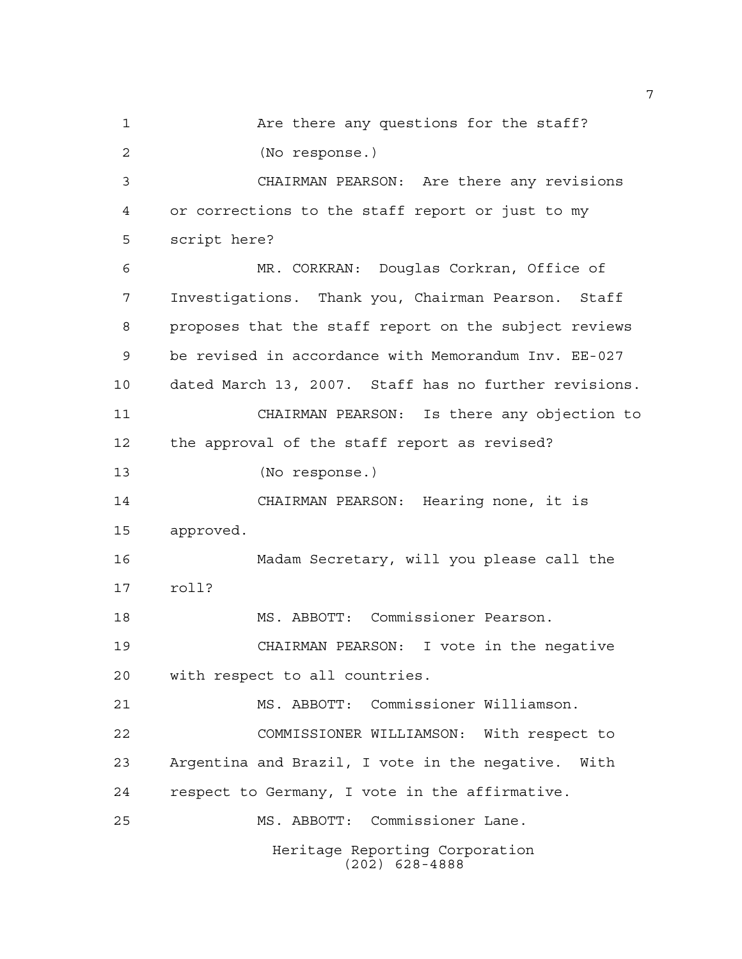Heritage Reporting Corporation (202) 628-4888 Are there any questions for the staff? (No response.) CHAIRMAN PEARSON: Are there any revisions or corrections to the staff report or just to my script here? MR. CORKRAN: Douglas Corkran, Office of Investigations. Thank you, Chairman Pearson. Staff proposes that the staff report on the subject reviews be revised in accordance with Memorandum Inv. EE-027 dated March 13, 2007. Staff has no further revisions. CHAIRMAN PEARSON: Is there any objection to the approval of the staff report as revised? (No response.) CHAIRMAN PEARSON: Hearing none, it is approved. Madam Secretary, will you please call the roll? MS. ABBOTT: Commissioner Pearson. CHAIRMAN PEARSON: I vote in the negative with respect to all countries. MS. ABBOTT: Commissioner Williamson. COMMISSIONER WILLIAMSON: With respect to Argentina and Brazil, I vote in the negative. With respect to Germany, I vote in the affirmative. MS. ABBOTT: Commissioner Lane.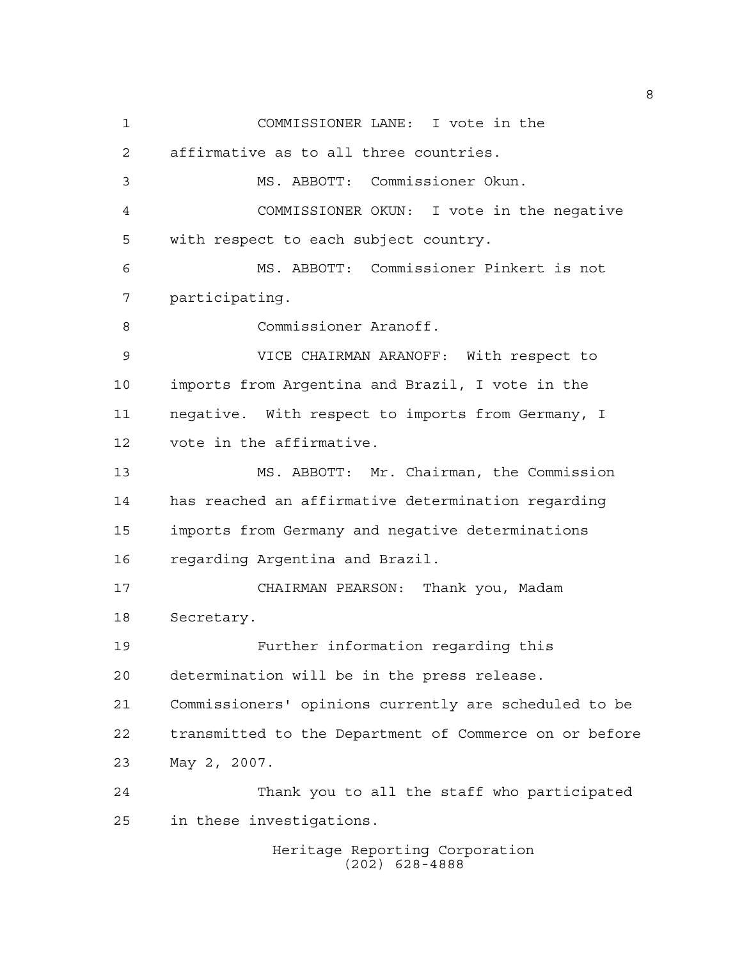Heritage Reporting Corporation COMMISSIONER LANE: I vote in the affirmative as to all three countries. MS. ABBOTT: Commissioner Okun. COMMISSIONER OKUN: I vote in the negative with respect to each subject country. MS. ABBOTT: Commissioner Pinkert is not participating. Commissioner Aranoff. VICE CHAIRMAN ARANOFF: With respect to imports from Argentina and Brazil, I vote in the negative. With respect to imports from Germany, I vote in the affirmative. MS. ABBOTT: Mr. Chairman, the Commission has reached an affirmative determination regarding imports from Germany and negative determinations regarding Argentina and Brazil. CHAIRMAN PEARSON: Thank you, Madam Secretary. Further information regarding this determination will be in the press release. Commissioners' opinions currently are scheduled to be transmitted to the Department of Commerce on or before May 2, 2007. Thank you to all the staff who participated in these investigations.

(202) 628-4888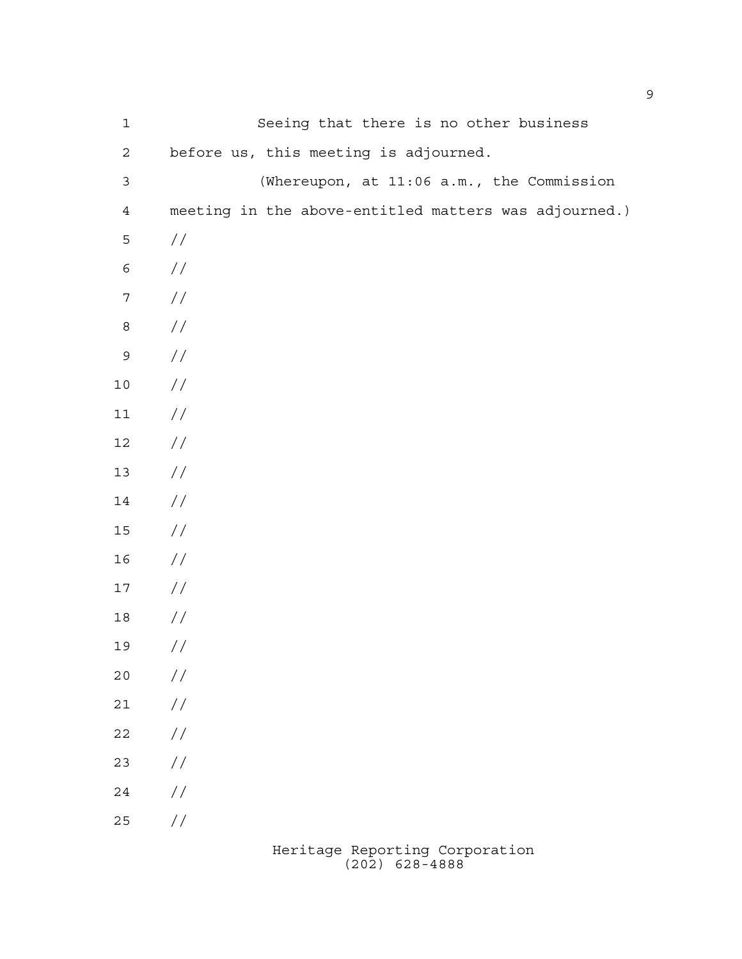| $1\,$          | Seeing that there is no other business                |
|----------------|-------------------------------------------------------|
| $\sqrt{2}$     | before us, this meeting is adjourned.                 |
| $\mathfrak{Z}$ | (Whereupon, at 11:06 a.m., the Commission             |
| $\sqrt{4}$     | meeting in the above-entitled matters was adjourned.) |
| 5              | //                                                    |
| $\epsilon$     | //                                                    |
| $\sqrt{ }$     | $\sqrt{}$                                             |
| $\,8\,$        | $\sqrt{}$                                             |
| $\mathsf 9$    | $\sqrt{}$                                             |
| $10$           | $\sqrt{}$                                             |
| $11$           | $\sqrt{}$                                             |
| $12$           | $\sqrt{}$                                             |
| $13$           | $\sqrt{}$                                             |
| 14             | $\sqrt{}$                                             |
| $15\,$         | $\sqrt{}$                                             |
| 16             | $\sqrt{}$                                             |
| $17\,$         | $\sqrt{}$                                             |
| $18\,$         | //                                                    |
| 19             | $\frac{1}{2}$                                         |
| 20             | $\frac{1}{2}$                                         |
| $21$           | $\frac{\displaystyle}{\displaystyle\int}$             |
| 22             | $\frac{\displaystyle}{\displaystyle\int}$             |
| 23             | $\frac{\displaystyle}{\displaystyle\int}$             |
| 24             | $\frac{\displaystyle}{\displaystyle\int}$             |
| 25             | $\!/\!$                                               |
|                |                                                       |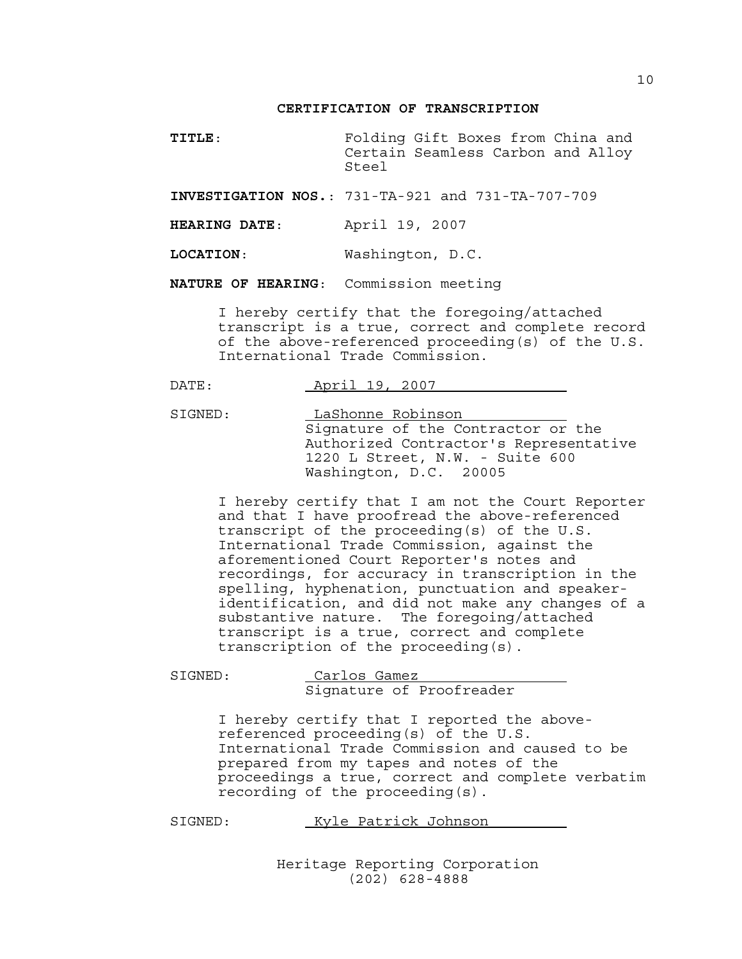## **CERTIFICATION OF TRANSCRIPTION**

**TITLE**: Folding Gift Boxes from China and Certain Seamless Carbon and Alloy Steel

**INVESTIGATION NOS.**: 731-TA-921 and 731-TA-707-709

**HEARING DATE**: April 19, 2007

**LOCATION**: Washington, D.C.

**NATURE OF HEARING**: Commission meeting

I hereby certify that the foregoing/attached transcript is a true, correct and complete record of the above-referenced proceeding(s) of the U.S. International Trade Commission.

|  | DATE. | $\pi$ $\sim$ $\sim$ $\sim$<br>$HULLL$ . | $\cdot$ |  |
|--|-------|-----------------------------------------|---------|--|
|--|-------|-----------------------------------------|---------|--|

SIGNED: LaShonne Robinson Signature of the Contractor or the Authorized Contractor's Representative 1220 L Street, N.W. - Suite 600 Washington, D.C. 20005

I hereby certify that I am not the Court Reporter and that I have proofread the above-referenced transcript of the proceeding(s) of the U.S. International Trade Commission, against the aforementioned Court Reporter's notes and recordings, for accuracy in transcription in the spelling, hyphenation, punctuation and speakeridentification, and did not make any changes of a substantive nature. The foregoing/attached transcript is a true, correct and complete transcription of the proceeding(s).

Carlos Gamez Signature of Proofreader

I hereby certify that I reported the abovereferenced proceeding(s) of the U.S. International Trade Commission and caused to be prepared from my tapes and notes of the proceedings a true, correct and complete verbatim recording of the proceeding(s).

SIGNED: Kyle Patrick Johnson